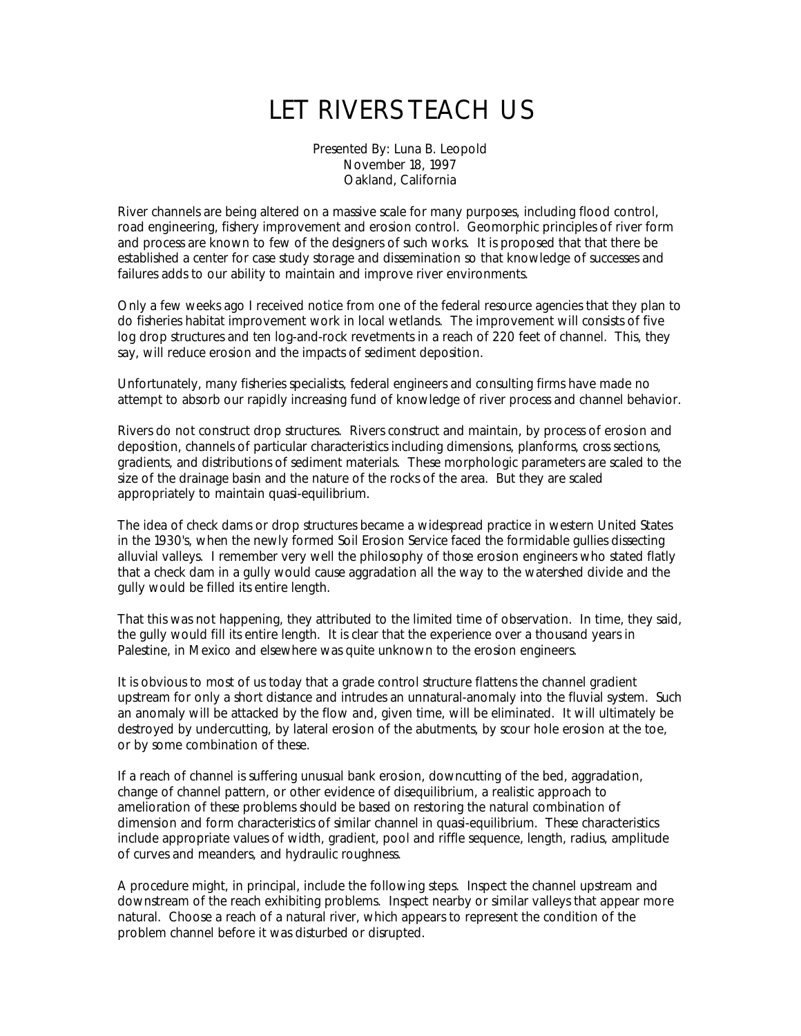## LET RIVERS TEACH US

Presented By: Luna B. Leopold November 18, 1997 Oakland, California

River channels are being altered on a massive scale for many purposes, including flood control, road engineering, fishery improvement and erosion control. Geomorphic principles of river form and process are known to few of the designers of such works. It is proposed that that there be established a center for case study storage and dissemination so that knowledge of successes and failures adds to our ability to maintain and improve river environments.

Only a few weeks ago I received notice from one of the federal resource agencies that they plan to do fisheries habitat improvement work in local wetlands. The improvement will consists of five log drop structures and ten log-and-rock revetments in a reach of 220 feet of channel. This, they say, will reduce erosion and the impacts of sediment deposition.

Unfortunately, many fisheries specialists, federal engineers and consulting firms have made no attempt to absorb our rapidly increasing fund of knowledge of river process and channel behavior.

Rivers do not construct drop structures. Rivers construct and maintain, by process of erosion and deposition, channels of particular characteristics including dimensions, planforms, cross sections, gradients, and distributions of sediment materials. These morphologic parameters are scaled to the size of the drainage basin and the nature of the rocks of the area. But they are scaled appropriately to maintain quasi-equilibrium.

The idea of check dams or drop structures became a widespread practice in western United States in the 1930's, when the newly formed Soil Erosion Service faced the formidable gullies dissecting alluvial valleys. I remember very well the philosophy of those erosion engineers who stated flatly that a check dam in a gully would cause aggradation all the way to the watershed divide and the gully would be filled its entire length.

That this was not happening, they attributed to the limited time of observation. In time, they said, the gully would fill its entire length. It is clear that the experience over a thousand years in Palestine, in Mexico and elsewhere was quite unknown to the erosion engineers.

It is obvious to most of us today that a grade control structure flattens the channel gradient upstream for only a short distance and intrudes an unnatural-anomaly into the fluvial system. Such an anomaly will be attacked by the flow and, given time, will be eliminated. It will ultimately be destroyed by undercutting, by lateral erosion of the abutments, by scour hole erosion at the toe, or by some combination of these.

If a reach of channel is suffering unusual bank erosion, downcutting of the bed, aggradation, change of channel pattern, or other evidence of disequilibrium, a realistic approach to amelioration of these problems should be based on restoring the natural combination of dimension and form characteristics of similar channel in quasi-equilibrium. These characteristics include appropriate values of width, gradient, pool and riffle sequence, length, radius, amplitude of curves and meanders, and hydraulic roughness.

A procedure might, in principal, include the following steps. Inspect the channel upstream and downstream of the reach exhibiting problems. Inspect nearby or similar valleys that appear more natural. Choose a reach of a natural river, which appears to represent the condition of the problem channel before it was disturbed or disrupted.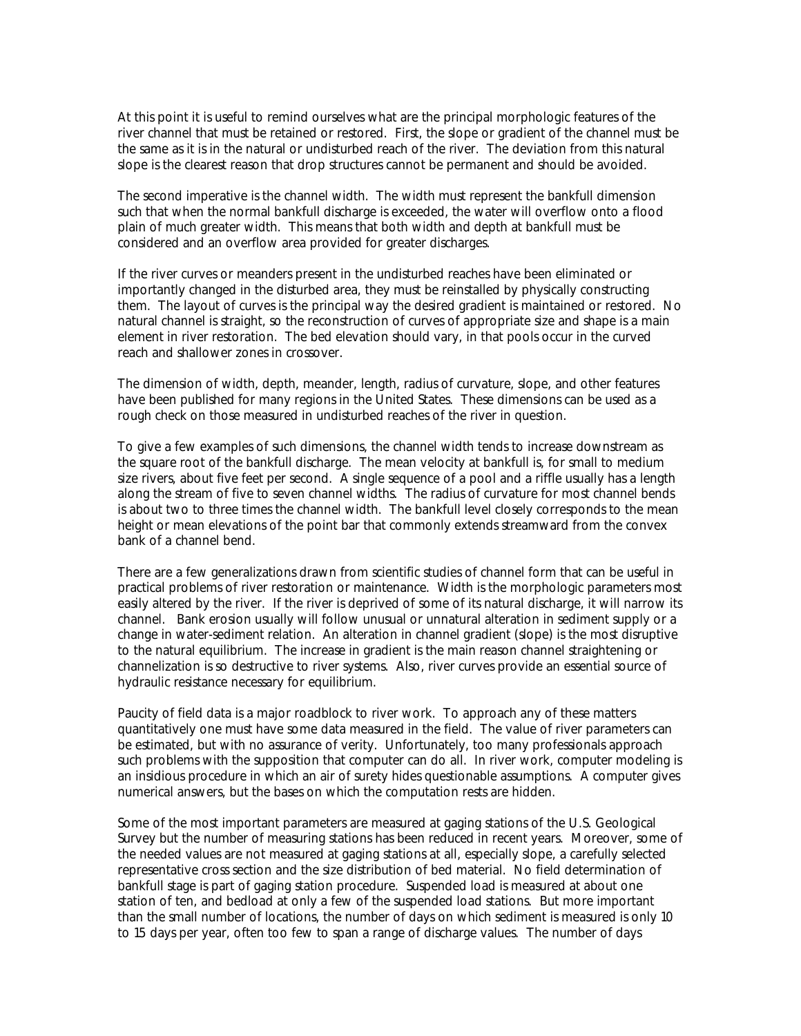At this point it is useful to remind ourselves what are the principal morphologic features of the river channel that must be retained or restored. First, the slope or gradient of the channel must be the same as it is in the natural or undisturbed reach of the river. The deviation from this natural slope is the clearest reason that drop structures cannot be permanent and should be avoided.

The second imperative is the channel width. The width must represent the bankfull dimension such that when the normal bankfull discharge is exceeded, the water will overflow onto a flood plain of much greater width. This means that both width and depth at bankfull must be considered and an overflow area provided for greater discharges.

If the river curves or meanders present in the undisturbed reaches have been eliminated or importantly changed in the disturbed area, they must be reinstalled by physically constructing them. The layout of curves is the principal way the desired gradient is maintained or restored. No natural channel is straight, so the reconstruction of curves of appropriate size and shape is a main element in river restoration. The bed elevation should vary, in that pools occur in the curved reach and shallower zones in crossover.

The dimension of width, depth, meander, length, radius of curvature, slope, and other features have been published for many regions in the United States. These dimensions can be used as a rough check on those measured in undisturbed reaches of the river in question.

To give a few examples of such dimensions, the channel width tends to increase downstream as the square root of the bankfull discharge. The mean velocity at bankfull is, for small to medium size rivers, about five feet per second. A single sequence of a pool and a riffle usually has a length along the stream of five to seven channel widths. The radius of curvature for most channel bends is about two to three times the channel width. The bankfull level closely corresponds to the mean height or mean elevations of the point bar that commonly extends streamward from the convex bank of a channel bend.

There are a few generalizations drawn from scientific studies of channel form that can be useful in practical problems of river restoration or maintenance. Width is the morphologic parameters most easily altered by the river. If the river is deprived of some of its natural discharge, it will narrow its channel. Bank erosion usually will follow unusual or unnatural alteration in sediment supply or a change in water-sediment relation. An alteration in channel gradient (slope) is the most disruptive to the natural equilibrium. The increase in gradient is the main reason channel straightening or channelization is so destructive to river systems. Also, river curves provide an essential source of hydraulic resistance necessary for equilibrium.

Paucity of field data is a major roadblock to river work. To approach any of these matters quantitatively one must have some data measured in the field. The value of river parameters can be estimated, but with no assurance of verity. Unfortunately, too many professionals approach such problems with the supposition that computer can do all. In river work, computer modeling is an insidious procedure in which an air of surety hides questionable assumptions. A computer gives numerical answers, but the bases on which the computation rests are hidden.

Some of the most important parameters are measured at gaging stations of the U.S. Geological Survey but the number of measuring stations has been reduced in recent years. Moreover, some of the needed values are not measured at gaging stations at all, especially slope, a carefully selected representative cross section and the size distribution of bed material. No field determination of bankfull stage is part of gaging station procedure. Suspended load is measured at about one station of ten, and bedload at only a few of the suspended load stations. But more important than the small number of locations, the number of days on which sediment is measured is only 10 to 15 days per year, often too few to span a range of discharge values. The number of days